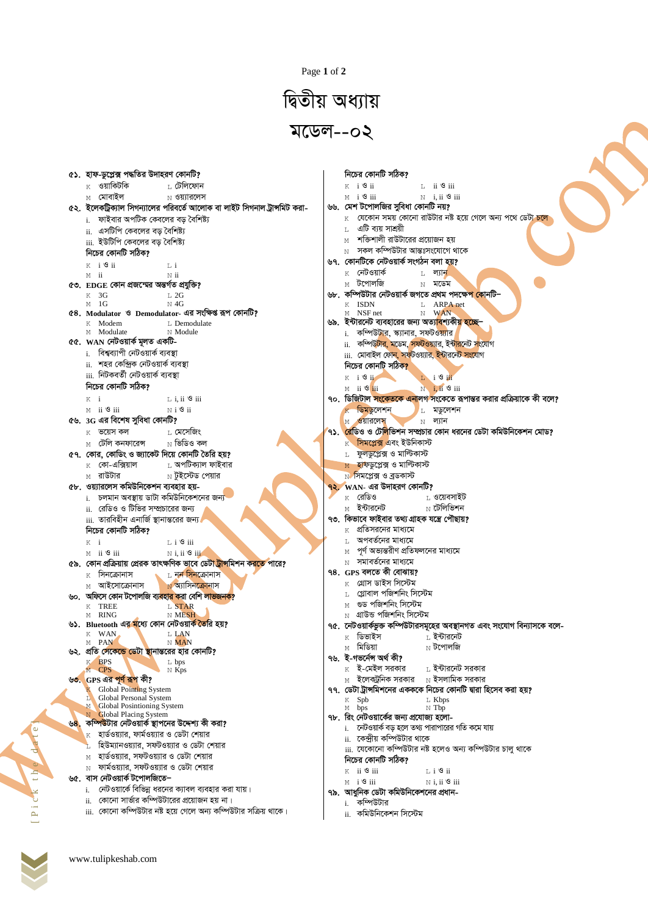Page 1 of 2

## দ্বিতীয় অধ্যায়  $\sqrt{2}$ মডেল--০২

| ৫১.  হাফ-ডুপ্লেক্স পদ্ধতির উদাহরণ কোনটি?                                                                                                     | নিচের কোনটি সঠিক?                                                                         |
|----------------------------------------------------------------------------------------------------------------------------------------------|-------------------------------------------------------------------------------------------|
| $K$ ওয়াকিটকি<br>⊥ <i>টে</i> লিফোন                                                                                                           | $K$ i $\mathcal{S}$ ii<br>$L$ ii $\mathcal{S}$ iii                                        |
| ⊠ মোবাইল<br>$_{\rm N}$ ওয়্যারলেস                                                                                                            | $M$ i $\mathcal{S}$ iii<br>$N$ i, ii $\mathcal{S}$ iii                                    |
| ৫২.  ইলেকট্রিক্যাল সিগন্যালের পরিবর্তে আলোক বা লাইট সিগনাল ট্রান্সমিট করা-                                                                   | ৬৬. মেশ টপোলজির সুবিধা কোনটি নয়?                                                         |
| i. ফাইবার অপটিক কেবলের বড় বৈশিষ্ট্য                                                                                                         | $\,$ (যকোন সময় কোনো রাউটার নষ্ট হয়ে গেলে অন্য পথে ডেটা চলে                              |
| ii. এসটিপি কেবলের বড় বৈশিষ্ট্য                                                                                                              | এটি ব্যয় সাশ্রয়ী<br>T.                                                                  |
| iii. ইউটিপি কেবলের বড় বৈশিষ্ট্য                                                                                                             | শক্তিশালী রাউটারের প্রয়োজন হয়                                                           |
| নিচের কোনটি সঠিক?                                                                                                                            | $_{\rm N}$ সকল কম্পিউটার আন্তঃসংযোগে থাকে                                                 |
|                                                                                                                                              | ৬৭. কোনটিকে নেটওয়ার্ক সংগঠন বলা হয়?                                                     |
| $K$ i $\mathcal{S}$ ii<br>Lί<br>$M$ ii                                                                                                       | $\rm _K$ নেটওয়ার্ক<br>$L$ ল্যান                                                          |
| Nii<br>৫৩. EDGE কোন প্ৰজন্মের অন্তৰ্গত প্ৰযুক্তি?                                                                                            | <sub>M</sub> টপোলজি<br>$N$ মডেম                                                           |
| $K$ 3G<br>$L_{2G}$                                                                                                                           | ৬৮.  কম্পিউটার নেটওয়ার্ক জগতে প্রথম পদক্ষে <mark>প কো</mark> নটি–                        |
| $M$ 1G<br>$N$ 4G                                                                                                                             | K ISDN<br>L ARPA net                                                                      |
| ৫৪. Modulator ও Demodulator- এর সংক্ষিপ্ত রূপ কোনটি?                                                                                         | M NSF net<br>N WAN                                                                        |
| L. Demodulate<br>K Modem                                                                                                                     | ৬৯.  ইন্টারনেট ব্যবহারের জন্য অত্যা <mark>ব</mark> শ্যকী <mark>য় হচ্</mark> নে—          |
| M Modulate<br>N Module                                                                                                                       | i. কম্পিউটার, স্ক্যানার, সফটওয়্যার                                                       |
| ৫৫. WAN নেটওয়ার্ক মূলত একটি-                                                                                                                | ii. কম্পিউটার, মডেম, সফটওয়্যার, ইন্টারনেট সংযোগ                                          |
| i. বিশ্বব্যাপী নেটওয়ার্ক ব্যবস্থা                                                                                                           | iii. মোবাইল ফোন, সফটওয়্যার, ইন্টারনেট সংযোগ                                              |
| ii.  শহর কেন্দ্রিক নেটওয়ার্ক ব্যবস্থা                                                                                                       | নিচের কোনটি সঠিক?                                                                         |
| iii. নিটকবৰ্তী নেটওয়াৰ্ক ব্যবস্থা                                                                                                           | $K$ i $9$ i<br>L i <sup>S</sup> ii                                                        |
| নিচের কোনটি সঠিক?                                                                                                                            | $N$ i, ii $\mathcal{S}$ iii<br>$M$ ii $\mathcal{S}$ iii                                   |
| $K$ i<br>$L$ i, ii $\mathcal{S}$ iii                                                                                                         | ৭০. ডিজিটাল সংকেতকে এনালগ সংকেতে রূপান্তর করার প্রক্রিয়াকে কী বলে?                       |
| $M$ ii $\mathcal{S}$ iii<br>$N$ i $\mathcal{S}$ ii                                                                                           | $K$ ডিমডুলেশন<br>$L$ মডুলেশন                                                              |
| ৫৬. 3G এর বিশেষ সুবিধা কোনটি?                                                                                                                | $M$ ওয়ারলেস<br>$\text{N}$ ল্যান                                                          |
| L মেসেজিং<br>$K$ ভয়েস কল                                                                                                                    | ৭১. <mark>রে</mark> ডিও ও টে <mark>লিভিশন সম্প্রচার কোন ধরনের ডেটা কমিউনিকেশন মোড?</mark> |
| $_{\rm N}$ ভিডিও কল<br>টেলি কনফারেন্স<br>M                                                                                                   | $K$ সিমপ্লেক্স এবং ইউনিকাস্ট                                                              |
| ৫৭. কোর, কোডিং ও জ্যাকেট দিয়ে কোনটি তৈরি হয়?                                                                                               | L ফুলডুপ্লেক্স ও মাল্টিকাস্ট                                                              |
| $\rm _K$ কো-এক্সিয়াল<br><sub>L</sub> অপটিক্যাল ফাইবার                                                                                       | <u>м হা</u> ফডুপ্লেক্স ও মাল্টিকাস্ট                                                      |
| $_{\rm N}$ টুইস্টেড পেয়ার<br><sub>M</sub> রাউটার                                                                                            | $N$ সিমপ্লেক্স ও ব্রডকাস্ট                                                                |
| ৫৮. ওয়্যারলেস কমিউনিকেশন ব্যবহার হয়-                                                                                                       | $92.$ WAN- এর উদাহরণ কোনটি?                                                               |
| i. চলমান অবস্থায় ডাটা কমিউনিকেশনের জন্য                                                                                                     | $K$ রেডিও<br><sub>L</sub> ওয়েবসাইট                                                       |
| ii. রেডিও ও টিভির সম্প্রচারের জন্য                                                                                                           | $_{\rm N}$ টেলিভিশন<br>$_{\rm M}$ ইন্টারনেট                                               |
| iii. তারবিহীন এনার্জি স্থানান্তরের জন্য।                                                                                                     | ৭৩. কিভাবে ফাইবার তথ্য গ্রাহক যন্ত্রে পৌছায়?                                             |
| নিচের কোনটি সঠিক?                                                                                                                            | প্রতিসরনের মাধ্যমে<br>K                                                                   |
| $L$ i $\mathcal{S}$ iii                                                                                                                      | অপবর্তনের মাধ্যমে                                                                         |
| $K$ i                                                                                                                                        | $_{\rm M}$ পূর্ণ অভ্যন্তরীণ প্রতিফলনের মাধ্যমে                                            |
| N i, ii <sup>9</sup> iii<br>$M$ ii $\mathcal{S}$ iii<br>৫৯. কোন প্রক্রিয়ায় প্রেরক তাৎক্ষণিক ভাবে ডেটা <mark>ট্রান্স</mark> মিশন করতে পারে? | $_{\rm N}$ সমাবর্তনের মাধ্যমে                                                             |
| $\rm _K$ সিনক্রোনাস<br><sub>L</sub> নন সিনক্রোনাস                                                                                            | ৭৪. GPS বলতে কী বোঝায়?                                                                   |
| $N$ অ্যাসিনক্রোনাস<br><sub>M</sub> আইসোক্রোনাস                                                                                               | $\rm _K$ গ্ৰোস ডাইস সিস্টেম                                                               |
|                                                                                                                                              | $L$ গ্লোবাল পজিশনিং সিস্টেম                                                               |
| ৬০. অফিসে কোন টপোলজি ব্য <mark>ৱহার ক</mark> রা বেশি লাভজনক?<br>L STAR<br>K TREE                                                             | গুড পজিশনিং সিস্টেম                                                                       |
| N MESH<br>M RING                                                                                                                             | $\,$ N গ্রাউন্ড পজিশনিং সিস্টেম                                                           |
| ৬১. Bluetooth এর মধ্যে কোন নেটওয়ার্ক তৈরি হয়?                                                                                              | ৭৫. নেটওয়ার্কভুক্ত কম্পিউটারসমূহের অবস্থানগত এবং সংযোগ বিন্যাসকে বলে-                    |
| L LAN<br>K WAN                                                                                                                               | ডিভাইস<br>$_{\rm L}$ ইন্টারনেট<br>K                                                       |
| N MAN<br>M PAN                                                                                                                               | м মিডিয়া<br>$_{\rm N}$ টপোলজি                                                            |
| ৬২. প্রতি সেকেন্ <mark>ডে ডেটা স্থা</mark> নান্তরের হার কোনটি?                                                                               | ৭৬.  ই-গভৰ্নেন্স অৰ্থ কী?                                                                 |
| K BPS<br>L bps<br>M CPS<br>$N$ Kps                                                                                                           | $\rm K$ ই-মেইল সরকার<br>$_{\rm L}$ ইন্টারনেট সরকার                                        |
| ৬৩. GPS এর পূর্ণ রূপ কী?                                                                                                                     | $_{\rm M}$ ইলেকট্রনিক সরকার $_{\rm N}$ ইসলামিক সরকার                                      |
| Global Pointing System                                                                                                                       | ৭৭.  ডেটা ট্রান্সমিশনের একককে নিচের কোনটি দ্বারা হিসেব করা হয়?                           |
| Global Personal System<br>L.                                                                                                                 | K Spb<br>L Kbps                                                                           |
| M Global Posintioning System                                                                                                                 | N Tbp<br>M bps                                                                            |
| Global Placing System<br>N<br>৬ <mark>৪.  কম্পিউ</mark> টার নেটওয়ার্ক স্থাপনের উদ্দেশ্য কী করা?                                             | ৭৮. রিং নেটওয়ার্কের জন্য প্রযোজ্য হলো-                                                   |
| $\,$ হার্ডওয়্যার, ফার্মওয়্যার ও ডেটা শেয়ার                                                                                                | i. নেটওয়ার্ক বড় হলে তথ্য পারাপারের গতি কমে যায়                                         |
| হিউম্যানওয়্যার, সফটওয়্যার ও ডেটা শেয়ার                                                                                                    | ii.  কেন্দ্রীয় কম্পিউটার থাকে                                                            |
|                                                                                                                                              | <u>iii. যেকোনো কম্পিউটার নষ্ট হলেও অন্য কম্পিউটার চালু থাকে</u>                           |
| হার্ডওয়্যার, সফটওয়্যার ও ডেটা শেয়ার                                                                                                       | নিচের কোনটি সঠিক?                                                                         |
| ফার্মওয়্যার, সফটওয়্যার ও ডেটা শেয়ার<br>N                                                                                                  | $K$ ii $\mathcal{F}$ iii<br>L i <sup>9</sup> ii                                           |
| ৬৫. বাস নেটওয়ার্ক টপোলজিতে–                                                                                                                 | $N$ i, ii $\mathcal{S}$ iii<br>$M$ i $\mathcal{S}$ iii                                    |
| i. নেটওয়ার্কে বিভিন্ন ধরনের ক্যাবল ব্যবহার করা যায়।                                                                                        | ৭৯.  আধুনিক ডেটা কমিউনিকেশনের প্রধান-                                                     |
| ii.   কোনো সার্ভার কম্পিউটারের প্রয়োজন হয় না।                                                                                              | i. কম্পিউটার                                                                              |
| iii. কোনো কম্পিউটার নষ্ট হয়ে গেলে অন্য কম্পিউটার সক্রিয় থাকে।                                                                              | ii.  কমিউনিকেশন সিস্টেম                                                                   |